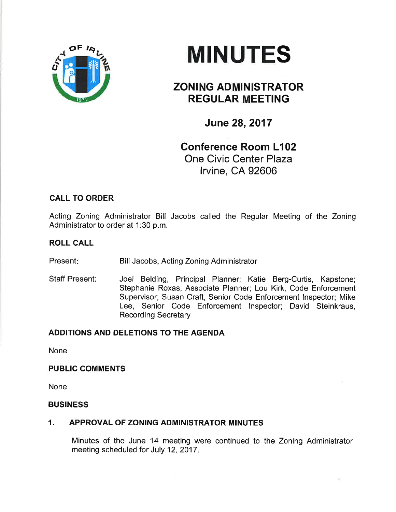



# ZONING ADMINISTRATOR REGULAR MEETING

June 28,2017

# Conference Room L102 One Civic Center Plaza lrvine, CA 92606

# CALL TO ORDER

Acting Zoning Administrator Bill Jacobs called the Regular Meeting of the Zoning Administrator to order at 1:30 p.m.

# ROLL CALL

Present: Bill Jacobs, Acting Zoning Administrator

Staff Present: Joel Belding, Principal Planner; Katie Berg-Curtis, Kapstone; Stephanie Roxas, Associate Planner; Lou Kirk, Code Enforcement Supervisor; Susan Craft, Senior Code Enforcement lnspector; Mike Lee, Senior Code Enforcement lnspector; David Steinkraus, Recording Secretary

# ADDITIONS AND DELETIONS TO THE AGENDA

None

## PUBLIC COMMENTS

None

## BUSINESS

## 1. APPROVAL OF ZONING ADMINISTRATOR MINUTES

Minutes of the June 14 meeting were continued to the Zoning Administrator meeting scheduled for July 12, 2017.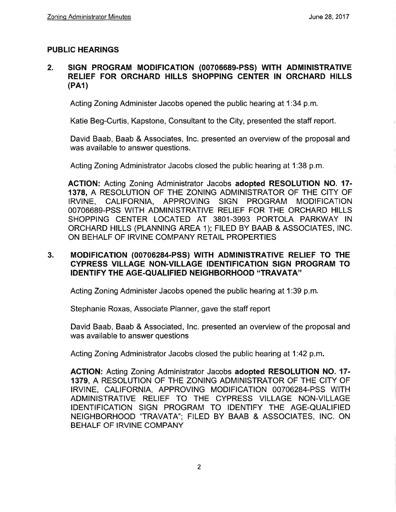## PUBLIC HEARINGS

#### 2. SIGN PROGRAM MODIFICATION (00706689-PSS) WITH ADMINISTRATIVE RELIEF FOR ORCHARD HILLS SHOPPING CENTER IN ORCHARD HILLS (PA1)

Acting Zoning Administer Jacobs opened the public hearing at 1:34 p.m

Katie Beg-Curtis, Kapstone, Consultant to the City, presented the staff report.

David Baab, Baab & Associates, lnc. presented an overview of the proposal and was available to answer questions.

Acting Zoning Administrator Jacobs closed the public hearing at 1:38 p.m.

AGTION: Acting Zoning Administrator Jacobs adopted RESOLUTION NO. 17- 1378, A RESOLUTION OF THE ZONING ADMINISTRATOR OF THE CITY OF IRVINE, CALIFORNIA, APPROVING SIGN PROGRAM MODIFICATION 00706689-PSS WITH ADMINISTRATIVE RELIEF FOR THE ORCHARD HILLS SHOPPING CENTER LOCATED AT 3801-3993 PORTOLA PARKWAY IN ORCHARD HILLS (PLANNING AREA 1); FILED BY BAAB & ASSOCIATES, lNC. ON BEHALF OF IRVINE COMPANY RETAIL PROPERTIES

## 3. MODIFICATION (00706284-PSS) WITH ADMINISTRATIVE RELIEF TO THE GYPRESS VILLAGE NON.VILLAGE IDENTIFICATION SIGN PROGRAM TO IDENTIFY THE AGE.QUALIFIED NEIGHBORHOOD "TRAVATA''

Acting Zoning Administer Jacobs opened the public hearing at 1:39 p.m

Stephanie Roxas, Associate Planner, gave the staff report

David Baab, Baab & Associated, lnc. presented an overview of the proposal and was available to answer questions

Acting Zoning Administrator Jacobs closed the public hearing at 1:42 p.m.

ACTION: Acting Zoning Administrator Jacobs adopted RESOLUTION NO. 17- 1379, A RESOLUTION OF THE ZONING ADMINISTRATOR OF THE CITY OF IRVINE, CALIFORNIA, APPROVING MODIFICATION 00706284-PSS WITH ADMINISTRATIVE RELIEF TO THE CYPRESS VILLAGE NON-VILLAGE IDENTIFICATION SIGN PROGRAM TO IDENTIFY THE AGE-QUALIFIED NEIGHBORHOOD "TRAVATA''. FILED BY BAAB & ASSOCIATES, INC. ON BEHALF OF IRVINE COMPANY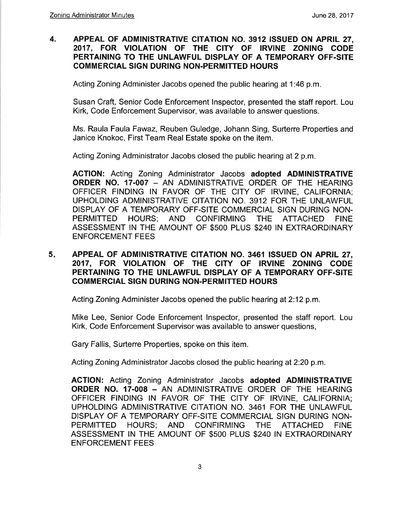#### 4. APPEAL OF ADMINISTRATIVE CITATION NO. 3912 ISSUED ON APRIL 27, 2017, FOR VIOLATION OF THE CITY OF IRVINE ZONING CODE PERTAINING TO THE UNLAWFUL DISPLAY OF A TEMPORARY OFF.SITE COMMERCIAL SIGN DURING NON.PERMITTED HOURS

Acting Zoning Administer Jacobs opened the public hearing at 1:46 p.m

Susan Craft, Senior Code Enforcement lnspector, presented the staff report. Lou Kirk, Code Enforcement Supervisor, was available to answer questions.

Ms. Raula Faula Fawaz, Reuben Guledge, Johann Sing, Surterre Properties and Janice Knokoc, First Team Real Estate spoke on the item.

Acting Zoning Administrator Jacobs closed the public hearing at 2 p.m.

ACTION: Acting Zoning Admínistrator Jacobs adopted ADMINISTRATIVE ORDER NO. 17.007 \_ AN ADMINISTRATIVE ORDER OF THE HEARING OFFICER FINDING IN FAVOR OF THE CITY OF IRVINE, CALIFORNIA; UPHOLDING ADMINISTRATIVE CITATION NO. 3912 FOR THE UNLAWFUL DISPLAY OF A TEMPORARY OFF-SITE COMMERCIAL SIGN DURING NON-PERMITTED HOURS; AND CONFIRMING THE ATTACHED FINE ASSESSMENT IN THE AMOUNT OF \$500 PLUS \$240 IN EXTRAORDINARY ENFORCEMENT FEES

#### APPEAL OF ADMINISTRATIVE CITATION NO. 3461 ISSUED ON APRIL 27, 2017, FOR VIOLATION OF THE CITY OF IRVINE ZONING CODE PERTAINING TO THE UNLAWFUL DISPLAY OF A TEMPORARY OFF.SITE COMMERCIAL SIGN DURING NON.PERMITTED HOURS 5

Acting Zoning Administer Jacobs opened the public hearing at 2:12 p.m.

Mike Lee, Senior Code Enforcement lnspector, presented the staff report. Lou Kirk, Code Enforcement Supervisor was available to answer questions,

Gary Fallis, Surterre Properties, spoke on this item.

Acting Zoning Administrator Jacobs closed the public hearing at 2:20 p.m.

ACTION: Acting Zoning Administrator Jacobs adopted ADMINISTRATIVE ORDER NO. 17.008 - AN ADMINISTRATIVE ORDER OF THE HEARING OFFICER FINDING IN FAVOR OF THE CITY OF IRVINE, CALIFORNIA; UPHOLDING ADMINISTRATIVE CITATION NO. 3461 FOR THE UNLAWFUL DISPLAY OF A TEMPORARY OFF-SITE COMMERCIAL SIGN DURING NON-PERMITTED HOURS; AND CONFIRMING THE ATTACHED FINE ASSESSMENT IN THE AMOUNT OF \$5OO PLUS \$240 IN EXTRAORDINARY ENFORCEMENT FEES